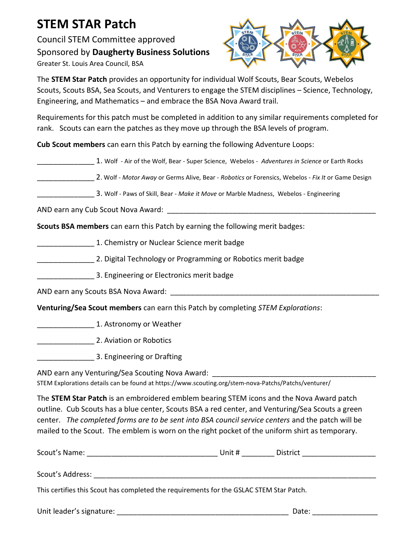## STEM STAR Patch

Council STEM Committee approved Sponsored by Daugherty Business Solutions Greater St. Louis Area Council, BSA



The STEM Star Patch provides an opportunity for individual Wolf Scouts, Bear Scouts, Webelos Scouts, Scouts BSA, Sea Scouts, and Venturers to engage the STEM disciplines – Science, Technology, Engineering, and Mathematics – and embrace the BSA Nova Award trail.

Requirements for this patch must be completed in addition to any similar requirements completed for rank. Scouts can earn the patches as they move up through the BSA levels of program.

Cub Scout members can earn this Patch by earning the following Adventure Loops:

|  |  | 1. Wolf - Air of the Wolf, Bear - Super Science, Webelos - Adventures in Science or Earth Rocks |
|--|--|-------------------------------------------------------------------------------------------------|
|--|--|-------------------------------------------------------------------------------------------------|

- 2. Wolf Motor Away or Germs Alive, Bear Robotics or Forensics, Webelos Fix It or Game Design
- 3. Wolf Paws of Skill, Bear Make it Move or Marble Madness, Webelos Engineering

AND earn any Cub Scout Nova Award:

Scouts BSA members can earn this Patch by earning the following merit badges:

- **EXECUTE:** 1. Chemistry or Nuclear Science merit badge
- \_\_\_\_\_\_\_\_\_\_\_\_\_\_ 2. Digital Technology or Programming or Robotics merit badge
	- \_\_\_\_\_\_\_\_\_\_\_\_\_\_ 3. Engineering or Electronics merit badge

AND earn any Scouts BSA Nova Award: \_\_\_\_\_\_\_\_\_\_\_\_\_\_\_\_\_\_\_\_\_\_\_\_\_\_\_\_\_\_\_\_\_\_\_\_\_\_\_\_\_\_\_\_\_\_\_\_\_\_\_

Venturing/Sea Scout members can earn this Patch by completing STEM Explorations:

\_\_\_\_\_\_\_\_\_\_\_\_\_\_ 1. Astronomy or Weather

\_\_\_\_\_\_\_\_\_\_\_\_\_\_ 2. Aviation or Robotics

\_\_\_\_\_\_\_\_\_\_\_\_\_\_ 3. Engineering or Drafting

AND earn any Venturing/Sea Scouting Nova Award: \_

STEM Explorations details can be found at https://www.scouting.org/stem-nova-Patchs/Patchs/venturer/

The **STEM Star Patch** is an embroidered emblem bearing STEM icons and the Nova Award patch outline. Cub Scouts has a blue center, Scouts BSA a red center, and Venturing/Sea Scouts a green center. The completed forms are to be sent into BSA council service centers and the patch will be mailed to the Scout. The emblem is worn on the right pocket of the uniform shirt as temporary.

| Scout's Name:                                                                           | Unit # | District |  |
|-----------------------------------------------------------------------------------------|--------|----------|--|
| Scout's Address:                                                                        |        |          |  |
| This certifies this Scout has completed the requirements for the GSLAC STEM Star Patch. |        |          |  |
| Unit leader's signature:                                                                |        | Date:    |  |